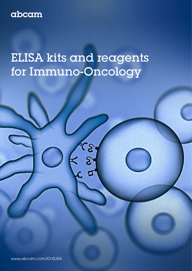# abcam

# ELISA kits and reagents for Immuno-Oncology

[www.abcam.com/IO-ELISA](http://www.abcam.com/IO-ELISA)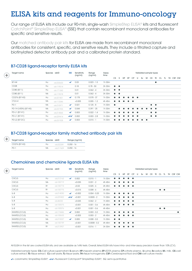## ELISA kits and reagents for Immuno-oncology

Our range of ELISA kits include our 90-min, single-wash [SimpleStep ELISA®](http://www.abcam.com/kits/simplestep-elisa-kits) kits and fluorescent [CatchPoint® SimpleStep ELISA®](https://www.abcam.com/kits/catchpoint-simplestep-elisa-kits) (SSE) that contain recombinant monoclonal antibodies for specific and sensitive results.

Our [matched antibody pair kits](https://www.abcam.com/kits/matched-antibody-pair-kits-for-elisa) for ELISA are made from recombinant monoclonal antibodies for consistent, specific, and sensitive results. They include a titrated capture and biotinylated detector antibody pair and a calibrated protein standard.

| $\left( \pm \right)$ | Target name           | Species abID |          | <b>SSE</b>   | Sensitivity<br>(ng/ml) | Range<br>(ng/ml) | Assay<br>time |                       |           |           |           |           |                       |    |           | Validated sample types |           |     |     |    |        |
|----------------------|-----------------------|--------------|----------|--------------|------------------------|------------------|---------------|-----------------------|-----------|-----------|-----------|-----------|-----------------------|----|-----------|------------------------|-----------|-----|-----|----|--------|
|                      |                       |              |          |              |                        |                  |               | C <sub>S</sub>        | S.        | HP        | EP        | <b>CP</b> | U                     | Sv | M         | CE.                    | TE.       | CL. | TL. | TH | CSF CM |
|                      | <b>B7-H4</b>          | Hu           | ab233633 | ✓            | 0.03                   | $0.023 - 1.5$    | 1h 30m        |                       |           |           |           |           |                       |    |           |                        | $\bullet$ |     |     |    |        |
|                      | CD28                  | Hu           | ab119514 |              | 0.18                   | $0.78 - 50$      | 3h 30m        | $\bullet\quad\bullet$ |           |           |           |           |                       |    |           |                        |           |     |     |    |        |
|                      | CD80 (B7-1)           | Hu           | ab171342 |              | 0.01                   | $0.062 - 4$      | 3h 30m        | $\bullet\quad\bullet$ |           |           |           |           |                       |    |           |                        |           |     |     |    |        |
|                      | CD80 (B7-1)           | Ms           | ab119578 |              | 0.01                   | $0.062 - 4$      | 3h 30m        | $\bullet\quad\bullet$ |           |           |           |           |                       |    |           |                        |           |     |     |    |        |
|                      | CD276 (B7-H3)         | Hu           | ab221831 | $\checkmark$ | 0.178                  | $0.578 - 37$     | 1h 30m        |                       |           |           |           |           | $\bullet\quad\bullet$ |    |           |                        |           |     |     |    |        |
|                      | CTLA-4                | Ms           | ab113346 |              | < 0.005                | $0.005 - 1.2$    | 4h 45m        |                       |           |           | $\bullet$ | $\bullet$ |                       |    |           |                        |           |     |     |    |        |
|                      | $PD-1$                | Ms           | ab210971 | $\checkmark$ | 0.021                  | $0.125 - 8$      | 1h 30m        | $\bullet$             |           |           |           |           |                       |    |           | $\bullet\quad\bullet$  |           |     |     |    |        |
|                      | PD-1H (VISTA) (B7-H5) | Ms           | ab231933 | $\checkmark$ | 0.044                  | $0.391 - 25$     | 1h 30m        |                       | $\bullet$ |           |           |           | $\bullet$             |    |           | $\bullet\quad\bullet$  |           |     |     |    |        |
|                      | PD-L1 (B7-H1)         | Hu           | ab214565 | $\checkmark$ | 0.003                  | $0.022 - 1.4$    | 1h 30m        |                       |           |           |           |           | $\bullet$             |    |           | $\bullet\quad\bullet$  |           |     |     |    |        |
|                      | PD-L1 (B7-H1)         | Hu           | ab229414 | $\checkmark$ | 0.002                  | $0.003 - 2.8$    | 1h 30m        | $\bullet$             | $\bullet$ | $\bullet$ |           |           | $\bullet$             |    |           | $\bullet\quad\bullet$  |           |     |     |    |        |
|                      | PD-L2 (B7-DC)         | Hu           | ab231928 | $\checkmark$ | 0.003                  | $0.015 - 1$      | 1h 30m        |                       |           |           |           |           | $\bullet$             |    | $\bullet$ |                        |           |     |     |    |        |

#### B7-CD28 ligand-receptor family ELISA kits

#### B7-CD28 ligand-receptor family matched antibody pair kits

| Target name   | Species abID |          | Range (ng/ml) |
|---------------|--------------|----------|---------------|
| CD276 (B7-H3) | Hu           | ab222281 | $0.250 - 16$  |
| $PD-1$        | Ms           | ab217609 | $0.250 - 16$  |

 $+$ 

#### Chemokines and chemokine ligands ELISA kits

| $\left( +\right)$ | Target name   | Species abID |          | <b>SSE</b>   | Sensitivity<br>(ng/ml) | Range<br>(ng/ml) | Assay<br>time | Validated sample types |    |           |           |           |   |    |   |    |  |                        |    |  |           |
|-------------------|---------------|--------------|----------|--------------|------------------------|------------------|---------------|------------------------|----|-----------|-----------|-----------|---|----|---|----|--|------------------------|----|--|-----------|
|                   |               |              |          |              |                        |                  |               | CS <sub></sub>         | S. | <b>HP</b> | EP        | <b>CP</b> | U | Sv | M | CE |  | TE CL                  | TL |  | TH CSF CM |
|                   | CXCL5         | Hu           | ab212163 | $\checkmark$ | 0.002                  | $0.015 - 1$      | 1h 30m        | $\bullet$              |    | $\bullet$ | $\bullet$ | $\bullet$ |   |    |   |    |  |                        |    |  |           |
|                   | CXCL5         | Ms           | ab100719 |              | < 0.035                | $0.031 - 2$      | 4h 45m        |                        |    |           | $\bullet$ | $\bullet$ |   |    |   |    |  |                        |    |  |           |
|                   | CXCL5         | Rt           | ab100774 |              | < 0.02                 | $0.025 - 6$      | 4h 45m        |                        |    |           |           | $\bullet$ |   |    |   |    |  |                        |    |  |           |
|                   | CXCL5         | $R+$         | ab100775 |              | < 0.015                | $0.008 - 6$      | 4h 45m        |                        |    |           |           |           |   |    |   |    |  | $\bullet\quad \bullet$ |    |  |           |
|                   | $IL-8$        | Hu           | ab214030 | $\checkmark$ | < 0.002                | $0.004 - 0.25$   | 1h 30m        | $\bullet$              |    | $\bullet$ | $\bullet$ | $\bullet$ |   |    |   |    |  |                        |    |  |           |
|                   | $IL-8$        | Hu           | ab229402 | $\checkmark$ | < 0.001                | $0.0005 - 2$     | 1h 30m        |                        |    |           |           | $\bullet$ |   |    |   |    |  |                        |    |  |           |
|                   | $IL-8$        | Hu           | ab46032  |              | < 0.025                | $0.062 - 2$      | 1h 40m        |                        |    |           |           | $\bullet$ |   |    |   |    |  |                        |    |  |           |
|                   | $IL-8$        | Hu           | ab100575 |              | < 0.001                | $0.001 - 0.6$    | 4h 45m        |                        |    |           |           | $\bullet$ |   |    |   |    |  |                        |    |  |           |
|                   | $IL-8$        | Hu           | ab100576 |              | < 0.001                | $0.001 - 0.6$    | 4h 45m        |                        |    |           |           |           |   |    |   |    |  | $\bullet\quad \bullet$ |    |  |           |
|                   | RANTES (CCL5) | Hu           | ab174446 | $\checkmark$ | 0.002                  | $0.003 - 0.2$    | 1h 30m        |                        |    |           | $\bullet$ | $\bullet$ |   |    |   |    |  |                        |    |  | $\bullet$ |
|                   | RANTES (CCL5) | Hu           | ab100633 |              | < 0.003                | $0.003 - 2$      | 4h 45m        | $\bullet$              |    |           | $\bullet$ | $\bullet$ |   |    |   |    |  |                        |    |  |           |
|                   | RANTES (CCL5) | Ms           | ab215537 | ✓            | 0.005                  | $0.008 - 0.5$    | 1h 30m        | $\bullet\quad\bullet$  |    |           |           |           |   |    |   |    |  |                        |    |  |           |
|                   | RANTES (CCL5) | Ms           | ab100739 |              | < 0.001                | $0.0008 - 0.2$   | 4h 45m        | $\bullet$              |    | $\bullet$ | $\bullet$ | $\bullet$ |   |    |   |    |  |                        |    |  |           |
|                   | RANTES (CCL5) | $R+$         | ab213907 |              | < 0.001                | $0.016 - 1$      | 3h 30m        |                        |    |           |           | $\bullet$ |   |    |   |    |  |                        |    |  |           |

All ELISA in the list are coated ELISA kits, and are available as 1x96 tests. Overall, listed ELISA kits have intra- and inter-assay precision lower than 10% (CV).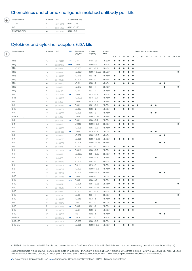#### Chemokines and chemokine ligands matched antibody pair kits

| Target name   | Species ablD |          | Range (ng/ml)   |
|---------------|--------------|----------|-----------------|
| CXCL5         | Hu           | nb215074 | $0.004 - 0.25$  |
| $IL - 8$      | Hu.          | ab215402 | $0.002 - 0.125$ |
| RANTES (CCL5) | Ms           | ab213736 | $0.008 - 0.5$   |

#### Cytokines and cytokine receptors ELISA kits

| Target name   | Species abID   |          | <b>SSE</b>   | Sensitivity | Range            | Assay  |           |           |           |                                   |                        | Validated sample types |           |           |           |                        |                              |           |
|---------------|----------------|----------|--------------|-------------|------------------|--------|-----------|-----------|-----------|-----------------------------------|------------------------|------------------------|-----------|-----------|-----------|------------------------|------------------------------|-----------|
|               |                |          |              | (ng/ml)     | (ng/ml)          | time   | CS        | S         | HP        | EP                                | CP                     |                        |           |           |           |                        | U Sv M CE TE CL TL TH CSF CM |           |
| <b>IFNg</b>   | Hu             | ab174443 | ✓            | 0.47        | $0.468 - 30$     | 1h 30m | $\bullet$ | 0         | $\bullet$ | $\bullet$                         | $\bullet$              |                        |           |           |           |                        |                              |           |
| <b>IFNg</b>   | Hu             | ab229415 | ンン           | 0.025       | $0.060 - 30$     | 1h 30m | $\bullet$ |           |           | $\bullet$                         | $\bullet$              |                        |           |           |           |                        |                              |           |
| <b>IFNg</b>   | Hu             | ab46025  |              | < 0.005     | $0.012 - 0.4$    | 2h 40m | $\bullet$ | $\bullet$ | ٠         | $\bullet$                         | $\bullet$              |                        |           |           |           |                        |                              |           |
| <b>IFNg</b>   | Hu             | ab46048  |              | < 0.0007    | $0.0007 - 0.025$ | 3h 00m |           | $\bullet$ |           | $\bullet$                         | $\bullet$              |                        |           |           |           |                        |                              | $\bullet$ |
| <b>IFNg</b>   | Hu             | ab100537 |              | < 0.015     | $0.02 - 15$      | 4h 45m | $\bullet$ |           |           |                                   | $\bullet$              |                        |           |           |           |                        |                              |           |
| <b>IFNg</b>   | Ms             | ab100689 |              | < 0.005     | $0.003 - 2$      | 4h 45m | $\bullet$ | $\bullet$ |           |                                   | $\bullet$              |                        |           |           |           |                        |                              |           |
| <b>IFNg</b>   | Ms             | ab100690 |              | < 0.01      | $0.003 - 2$      | 4h 45m | $\bullet$ |           | $\bullet$ | $\bullet$                         | $\bullet$              |                        |           |           | $\bullet$ | $\bullet$              |                              |           |
| <b>IFNg</b>   | Ms             | ab46081  |              | < 0.015     | $0.031 - 1$      | 3h 45m |           |           |           |                                   |                        |                        |           |           |           | $\bullet$              |                              | $\bullet$ |
| <b>IFNg</b>   | Rt             | ab46107  |              | < 0.01      | $0.031 - 1$      | 3h 45m | $\bullet$ |           | ٠         |                                   | $\bullet$              |                        |           |           |           |                        |                              |           |
| $IL-Ib$       | Hu             | ab214025 | ✓            | 0.005       | $0.014 - 0.9$    | 1h 30m | $\bullet$ |           |           |                                   | $\bullet$              |                        |           |           |           |                        |                              |           |
| $IL-1b$       | Hu             | ab100562 |              | < 0.0003    | $0.048 - 0.1$    | 4h 45m | $\bullet$ |           |           |                                   | $\bullet$              |                        |           |           |           |                        |                              |           |
| $IL-1b$       | Hu             | ab46052  |              | 0.006       | $0.016 - 0.5$    | 3h 45m |           |           |           |                                   | ٠                      |                        |           |           |           |                        |                              |           |
| $IL-1b$       | Ms             | ab197742 | ✓            | 0.001       | $0.001 - 0.1$    | 1h 30m |           |           |           |                                   | $\bullet$<br>$\bullet$ |                        | $\bullet$ | $\bullet$ |           |                        |                              |           |
| $IL-1b$       | Ms             | ab100704 |              | < 0.005     | $0.003 - 2$      | 4h 45m | $\bullet$ |           | <b>.</b>  |                                   | $\bullet$              |                        |           |           |           |                        |                              |           |
| $IL-1b$       | Ms             | ab100705 |              | < 0.005     | $0.003 - 2$      | 4h 45m |           |           |           |                                   |                        |                        | $\bullet$ | $\bullet$ |           |                        |                              |           |
| IL2-R (CD122) | Hu             | ab46036  |              | 0.032       | $0.069 - 2.22$   | 3h 45m | $\bullet$ | $\bullet$ | ٠         | $\bullet$                         | $\bullet$              |                        |           |           |           |                        |                              |           |
| $IL-4$        | Hu             | ab215089 | $\checkmark$ | 0.001       | $0.006 - 0.4$    | 1h 30m | $\bullet$ |           |           |                                   | $\bullet$              |                        |           |           |           |                        |                              |           |
| $IL - 4$      | Hu             | ab46063  |              | 0.0003      | $0.0003 - 0.1$   | 3h 15m |           |           |           |                                   | $\bullet$              |                        |           |           |           |                        |                              | $\bullet$ |
| $IL - 4$      | Hu             | ab100570 |              | < 0.005     | $0.003 - 0.2$    | 4h 45m | $\bullet$ | e         |           | $\bullet$                         | $\bullet$              |                        |           |           |           |                        |                              |           |
| $IL - 4$      | Ms             | ab221833 | ✓            | 0.006       | $0.018 - 1.2$    | 1h 30m | $\bullet$ | $\bullet$ |           |                                   |                        |                        | $\bullet$ | $\bullet$ |           |                        |                              |           |
| $IL-4$        | Ms             | ab100710 |              | < 0.001     | $0.0009 - 0.2$   | 4h 45m |           |           |           |                                   |                        |                        |           |           | $\bullet$ | $\bullet$              |                              |           |
| $IL-4$        | Rt             | ab100770 |              | < 0.001     | $0.0007 - 0.16$  | 4h 45m | $\bullet$ |           |           | $\bullet$                         | $\bullet$              |                        |           |           |           |                        |                              |           |
| $IL-4$        | R <sup>†</sup> | ab100771 |              | < 0.001     | $0.0007 - 0.16$  | 4h 45m |           |           |           |                                   |                        |                        |           |           | $\bullet$ | $\bullet$              |                              |           |
| $IL-4$        | R <sup>†</sup> | ab46073  |              | < 0.015     | $0.031 - 1$      | 4h 45m | $\bullet$ |           |           |                                   | $\bullet$              |                        |           |           |           |                        |                              |           |
| $IL-6$        | Hu             | ab178013 | ✓            | 0.0016      | $0.008 - 0.5$    | 1h 30m |           |           |           |                                   | $\bullet$              |                        |           |           |           |                        |                              |           |
| $IL-6$        | Hu             | ab46042  |              | < 0.0008    | $0.001 - 0.05$   | 3h 45m |           |           |           |                                   | $\bullet$              |                        |           |           |           |                        |                              |           |
| $IL-6$        | Hu             | ab46027  |              | < 0.002     | $0.006 - 0.2$    | 1h 45m |           |           |           |                                   | $\bullet$              |                        |           | $\bullet$ |           |                        |                              |           |
| $IL-6$        | Hu             | ab100572 |              | < 0.003     | $0.001 - 1$      | 4h 45m |           |           |           |                                   | $\bullet$              |                        |           |           |           |                        |                              |           |
| $IL-6$        | Ms             | ab222503 | ✓            | 0.011       | $0.015 - 1$      | 1h 30m |           |           |           |                                   | $\bullet$              |                        |           |           |           |                        |                              |           |
| $IL-6$        | Ms             | ab100712 |              | < 0.002     | $0.0008 - 0.6$   | 4h 45m | $\bullet$ |           | $\bullet$ | $\bullet$                         | $\bullet$              |                        |           |           |           |                        |                              |           |
| $IL-6$        | Ms             | ab100713 |              | < 0.002     | $0.0008 - 0.6$   | 4h 45m |           |           |           |                                   |                        |                        |           |           | $\bullet$ | $\bullet$              |                              |           |
| $IL-10$       | Hu             | ab185986 | ✓            | 0.006       | $0.006 - 5$      | 1h 30m | $\bullet$ | 0         |           | $\bullet$                         | $\bullet$              |                        |           |           |           |                        |                              |           |
| $IL-10$       | Hu             | ab229436 | $\checkmark$ | 0.005       | $0.006 - 45$     | 1h 30m | $\bullet$ | $\bullet$ |           | $\bullet$                         | $\bullet$              |                        |           |           |           |                        |                              |           |
| $IL-10$       | Hu             | ab46059  |              | < 0.001     | $0.001 - 0.05$   | 3h 15m |           |           |           |                                   | $\bullet$              |                        |           |           |           |                        |                              | $\bullet$ |
| $IL-10$       | Hu             | ab100549 |              | < 0.001     | $0.002 - 0.15$   | 4h 45m |           |           |           |                                   | $\bullet$              |                        |           |           |           |                        |                              |           |
| $IL-10$       | Hu             | ab46034  |              | < 0.005     | $0.012 - 0.4$    | 2h 45m | $\bullet$ | $\bullet$ | $\bullet$ | $\bullet$                         | $\bullet$              |                        |           |           |           |                        |                              |           |
| $IL-10$       | $\mathsf{Ms}$  | ab46103  |              | < 0.02      | $0.031 - 1$      | 3h 45m |           | e         |           |                                   |                        |                        |           |           |           |                        |                              | $\bullet$ |
| $IL-10$       | Ms             | ab100697 |              | < 0.045     | $0.078 - 5$      | 4h 45m |           |           |           |                                   |                        |                        |           |           |           |                        |                              |           |
| $IL-10$       | Ms             | ab108870 |              | 0.03        | $0.031 - 2$      | 5h 00m |           |           |           |                                   |                        |                        |           | $\bullet$ |           |                        |                              |           |
| $IL-10$       | Rt             | ab214566 | ✓            | 0.005       | $0.031 - 2$      | 1h 30m | $\bullet$ |           |           |                                   | $\bullet$              |                        |           |           |           |                        |                              |           |
| $IL-10$       | R <sup>†</sup> | ab100764 |              | < 0.01      | $0.008 - 6$      | 4h 45m | $\bullet$ | $\bullet$ | $\bullet$ | $\bullet$                         | $\bullet$              |                        |           |           |           |                        |                              |           |
| $IL-10$       | R <sup>†</sup> | ab100765 |              | <10         | $0.082 - 6$      | 4h 45m |           |           |           |                                   |                        |                        |           |           |           | $\bullet\quad \bullet$ |                              |           |
| IL-12-p70     | Hu             | ab223592 | ✓            | 0.014       | $0.031 - 2$      | 1h 30m | $\bullet$ | $\bullet$ | $\bullet$ | $\bullet$                         | $\bullet$              |                        |           |           |           |                        |                              |           |
| IL-12-p70     | Hu             | ab213791 |              | < 0.002     | $0.008 - 0.5$    | 3h 30m | $\bullet$ | $\bullet$ |           |                                   |                        |                        |           |           |           |                        |                              |           |
| IL-12-p70     | Hu             | ab100552 |              | < 0.001     | $0.0008 - 0.6$   | 4h 45m | $\bullet$ |           |           | $\bullet\quad\bullet\quad\bullet$ |                        |                        |           |           |           |                        |                              |           |

All ELISA in the list are coated ELISA kits, and are available as 1x96 tests. Overall, listed ELISA kits have intra- and inter-assay precision lower than 10% (CV).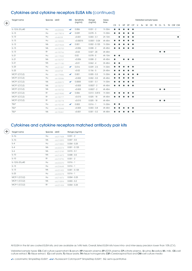#### Cytokines and cytokine receptors ELISA kits (continued)

 $($ 

 $\pm$ 

| Target name     | Species ablD   |          | <b>SSE</b>   | Sensitivity<br>(ng/ml) | Range<br>(ng/ml) | Assay<br>time |           |           |           |           |           |           |  | Validated sample types |                        |  |                            |
|-----------------|----------------|----------|--------------|------------------------|------------------|---------------|-----------|-----------|-----------|-----------|-----------|-----------|--|------------------------|------------------------|--|----------------------------|
|                 |                |          |              |                        |                  |               | CS        | - S       | HP        | EP        | <b>CP</b> | $\cup$    |  |                        |                        |  | SV M CE TE CL TL TH CSF CM |
| IL-12/IL-23 p40 | Hu             | ab220656 | $\checkmark$ | 0.006                  | $0.031 - 2$      | 1h 30m        | $\bullet$ | $\bullet$ | $\bullet$ | $\bullet$ | $\bullet$ |           |  |                        |                        |  |                            |
| $IL-13$         | Hu             | ab178014 | $\checkmark$ | 0.039                  | $0.078 - 5$      | 1h 30m        | $\bullet$ |           |           |           | $\bullet$ |           |  |                        |                        |  |                            |
| $IL-13$         | Hu             | ab46038  |              | < 0.001                | $0.003 - 0.1$    | 2h 10m        |           |           |           |           | $\bullet$ |           |  |                        |                        |  | $\bullet$                  |
| $IL-13$         | Hu             | ab100553 |              | < 0.00015              | $0.0001 - 0.04$  | 4h 45m        | $\bullet$ |           |           |           | $\bullet$ |           |  |                        |                        |  |                            |
| $IL-13$         | Ms             | ab219634 | $\checkmark$ | 0.001                  | $0.002 - 0.125$  | 1h 30m        |           |           |           |           | $\bullet$ |           |  |                        |                        |  |                            |
| $IL-13$         | Ms             | ab100700 |              | < 0.006                | $0.008 - 2$      | 4h 45m        | ●         |           |           |           | $\bullet$ |           |  |                        |                        |  |                            |
| $IL-13$         | R <sup>†</sup> | ab100766 |              | < 0.02                 | $0.027 - 20$     | 4h 45m        |           |           |           |           |           |           |  |                        | $\bullet\quad\bullet$  |  |                            |
| $IL-21$         | Hu             | ab119542 |              | 0.02                   | $0.078 - 5$      | 4h 10m        | $\bullet$ | $\bullet$ |           |           |           |           |  |                        |                        |  |                            |
| $IL-21$         | Ms             | ab100707 |              | < 0.006                | $0.008 - 2$      | 4h 45m        | $\bullet$ |           | $\bullet$ | $\bullet$ | $\bullet$ |           |  |                        |                        |  |                            |
| $IL-21$         | Ms             | ab171180 |              | < 0.01                 | $0.062 - 4$      | 3h 45m        | $\bullet$ | $\bullet$ |           |           |           |           |  |                        |                        |  |                            |
| $IL-23$         | Hu             | ab221837 | $\checkmark$ | 0.016                  | $0.039 - 2.5$    | 1h 30m        | ●         |           |           | $\bullet$ | $\bullet$ |           |  |                        |                        |  |                            |
| $IL-23$         | Hu             | ab64708  |              | < 0.02                 | $0.156 - 5$      | 2h 45m        |           |           |           |           | $\bullet$ |           |  |                        |                        |  |                            |
| MCP1 (CCL2)     | Hu             | ab179886 | $\checkmark$ | 0.001                  | $0.005 - 0.3$    | 1h 30m        |           |           |           |           |           | $\bullet$ |  |                        |                        |  |                            |
| MCP1 (CCL2)     | Hu             | ab100586 |              | < 0.002                | $0.002 - 0.5$    | 4h 45m        |           |           |           |           | $\bullet$ |           |  |                        |                        |  |                            |
| MCP1 (CCL2)     | Ms             | ab208979 | $\checkmark$ | 0.0005                 | $0.001 - 0.1$    | 1h 30m        |           |           |           |           | $\bullet$ |           |  |                        |                        |  |                            |
| MCP1 (CCL2)     | Ms             | ab100721 |              | < 0.003                | $0.0027 - 2$     | 4h 45m        | $\bullet$ |           |           | $\bullet$ | $\bullet$ |           |  |                        |                        |  |                            |
| MCP1 (CCL2)     | Ms             | ab100722 |              | < 0.003                | $0.0027 - 2$     | 4h 45m        |           |           |           |           |           |           |  |                        | $\bullet\quad\bullet$  |  |                            |
| MCP1 (CCL2)     | R <sup>†</sup> | ab219045 | $\checkmark$ | 0.006                  | $0.013 - 0.815$  | 1h 30m        | $\bullet$ |           |           |           | $\bullet$ |           |  |                        |                        |  |                            |
| MCP1 (CCL2)     | R <sup>†</sup> | ab100777 |              | < 0.015                | $0.025 - 18$     | 4h 45m        | $\bullet$ | $\bullet$ |           | $\bullet$ | $\bullet$ |           |  |                        |                        |  |                            |
| MCP1 (CCL2)     | R <sup>†</sup> | ab100778 |              | < 0.015                | $0.025 - 18$     | 4h 45m        |           |           |           |           |           |           |  |                        | $\bullet\quad \bullet$ |  |                            |
| <b>TSLP</b>     | Hu             | ab192149 | $\checkmark$ | 0.003                  | $0.016 - 1$      | 1h 30m        | $\bullet$ | $\bullet$ |           |           |           |           |  |                        |                        |  |                            |
| <b>TSLP</b>     | Hu             | ab155444 |              | < 0.003                | $0.003 - 0.8$    | 4h 45m        |           |           |           |           | $\bullet$ |           |  |                        |                        |  |                            |
| <b>TSLP</b>     | Ms             | ab155461 |              | < 0.001                | $0.001 - 0.2$    | 4h 45m        | $\bullet$ |           |           |           | $\bullet$ |           |  |                        |                        |  |                            |
|                 |                |          |              |                        |                  |               |           |           |           |           |           |           |  |                        |                        |  |                            |

#### Cytokines and cytokine receptors matched antibody pair kits

| Target name     | Species abID |          | Range (ng/ml)   |
|-----------------|--------------|----------|-----------------|
| $II - 1b$       | Hu           | ab217608 | $0.031 - 2$     |
| $IL - 1b$       | Ms           | ab210895 | $0.007 - 0.5$   |
| $II - 4$        | Hu           | ab218800 | $0.004 - 0.25$  |
| $IL-4$          | Ms           | ab222274 | $0.001 - 0.125$ |
| $IL-6$          | Ms           | ab213749 | $0.015 - 0.1$   |
| $IL-10$         | Ms           | ab214473 | $0.008 - 0.5$   |
| $IL-10$         | Rt           | ab218796 | $0.031 - 2$     |
| IL-12/IL-23 p40 | Hu           | ab222270 | $0.016 - 1$     |
| $II - 13$       | Hu           | ab224648 | $0.016 - 1$     |
| $IL - 13$       | Ms           | ab221432 | $0.001 - 0.125$ |
| $IL-23$         | Hu           | ab222278 | $0.016 - 1$     |
| MCP-1 (CCL2)    | Hu           | ab214476 | $0.004 - 0.25$  |
| MCP-1 (CCL2)    | Ms           | ab210894 | $0.003 - 0.2$   |
| MCP-1 (CCL2)    | Rt           | ab221434 | $0.004 - 0.25$  |

All ELISA in the list are coated ELISA kits, and are available as 1x96 tests. Overall, listed ELISA kits have intra- and inter-assay precision lower than 10% (CV).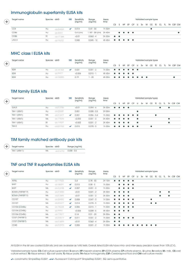#### Immunoglobulin superfamily ELISA kits

| $(+)$ | Target name      | Species abID |          | <b>SSE</b>   | Sensitivity<br>(ng/ml) | Range<br>(ng/ml)       | Assay<br>time |                        |          |                                                                                               |           |     |   |    | Validated sample types |  |  |                         |
|-------|------------------|--------------|----------|--------------|------------------------|------------------------|---------------|------------------------|----------|-----------------------------------------------------------------------------------------------|-----------|-----|---|----|------------------------|--|--|-------------------------|
|       |                  |              |          |              |                        |                        |               | CS.                    | $\sim$ S | HP.                                                                                           | <b>FP</b> | CP. | U | Sv |                        |  |  | M CE TE CL TL TH CSF CM |
|       | CD4              | Hu           | ab234569 | $\checkmark$ | 0.013                  | $0.47 - 30$            | 1h 30m        |                        |          |                                                                                               |           |     |   |    |                        |  |  |                         |
|       | CD <sub>86</sub> | Hu           | ab45921  |              | $0.6$ U/mL             | 1.187 - 38 U/mL 2h 40m |               |                        |          | $\bullet\hspace{0.4cm}\bullet\hspace{0.4cm}\bullet\hspace{0.4cm}\bullet\hspace{0.4cm}\bullet$ |           |     |   |    |                        |  |  |                         |
|       | CD86             | Rt           | ab171388 |              | < 0.01                 | $0.062 - 4$            | 3h 30m        | $\bullet\quadbullet$   |          |                                                                                               |           |     |   |    |                        |  |  |                         |
|       | $LAG-3$          | Hu           | ab193707 |              | 0.045                  | $0.045 - 12$           | 4h 45m        | $\bullet\quad \bullet$ |          | .                                                                                             |           |     |   |    |                        |  |  |                         |

#### MHC class I ELISA kits

| سادا | Target name      | Species abID |          | <b>SSE</b>   | Sensitivity<br>(ng/ml) | Range<br>(ng/ml) | Assay<br>time  |   |  |  |  | Validated sample types |  |  |                                            |
|------|------------------|--------------|----------|--------------|------------------------|------------------|----------------|---|--|--|--|------------------------|--|--|--------------------------------------------|
|      |                  |              |          |              |                        |                  |                |   |  |  |  |                        |  |  | CS S HP EP CP U Sv M CE TE CL TL TH CSF CM |
|      | B <sub>2</sub> M | Hu           | ab181423 | $\checkmark$ | 0.031                  | $0.031 - 2$      | 1h30m <b>.</b> |   |  |  |  |                        |  |  |                                            |
|      | B <sub>2</sub> M | Hu           | ab99977  |              | &0.006                 | $0.015 - 1$      | 4h 45m         | . |  |  |  |                        |  |  |                                            |
|      | B <sub>2</sub> M | Hu           | ab108885 |              | 0.19                   | $-20$            | 4h 00m         | . |  |  |  |                        |  |  |                                            |

#### TIM family ELISA kits

|        | Target name        | Species abID |          | <b>SSE</b> | Sensitivity<br>(ng/ml) | Range<br>(ng/ml) | Assay<br>time |                        |           |                     |           |                       |           |    |   | Validated sample types |       |     |           |           |
|--------|--------------------|--------------|----------|------------|------------------------|------------------|---------------|------------------------|-----------|---------------------|-----------|-----------------------|-----------|----|---|------------------------|-------|-----|-----------|-----------|
| $^{+}$ |                    |              |          |            |                        |                  |               | CS.                    | -S        | <b>HP</b>           | EP.       | <b>CP</b>             | U         | Sv | M | <b>CE</b>              | TE CL | TL. |           | TH CSF CM |
|        | GAL9               | Hu.          | ab213786 |            | < 0.01                 | $0.094 - 6$      | 3h 30m        | $\bullet\quad \bullet$ |           | $\bullet$ $\bullet$ |           |                       |           |    |   |                        |       |     | $\bullet$ |           |
|        | TIM-1 (KIM1)       | Hu           | ab235081 |            | 0.001                  | $0.008 - 0.5$    | 2h 00m        |                        |           |                     |           |                       | $\bullet$ |    |   |                        |       |     |           |           |
|        | TIM-1 (KIM1)       | Ms           | ab213477 | ✓          | 0.001                  | $0.006 - 0.4$    | 1h 30m        | $\bullet\quad\bullet$  |           | $\bullet$           | $\bullet$ | $\bullet\quad\bullet$ |           |    |   |                        |       |     |           |           |
|        | $TIM-1$ ( $KIM1$ ) | Ms           | ab119596 |            | < 0.002                | $0.031 - 2$      | 3h 40m        | $\bullet\quad \bullet$ |           | $\bullet$           | $\bullet$ |                       | $\bullet$ |    |   |                        |       |     | $\bullet$ |           |
|        | $TIM-1$ ( $KIM1$ ) | Rt           | ab119597 |            | < 0.002                | $0.031 - 2$      | 3h 40m        | $\bullet$              | $\bullet$ | $\bullet$           | $\bullet$ |                       | $\bullet$ |    |   |                        |       |     | $\bullet$ |           |
|        | $TIM-3$            | Hu           | ab231932 | ✓          | 0.015                  | $0.078 - 5$      | 1h 30m        | $\bullet$              |           |                     |           |                       | $\bullet$ |    |   | $\bullet$              |       |     |           |           |
|        |                    |              |          |            |                        |                  |               |                        |           |                     |           |                       |           |    |   |                        |       |     |           |           |

#### TIM family matched antibody pair kits

| Target name   | Species abID |          | Range (ng/ml) |
|---------------|--------------|----------|---------------|
| TIM-1 (KIM-1) | Ms           | ab216792 | $0.008 - 0.5$ |

#### TNF and TNF R superfamilies ELISA kits

| Target name     |    |          | <b>SSE</b>   | Sensitivity | Range       | Assay   |                |           |                                                |           |                                                 |                                                                                       |    |           |           |           |                        |          |                                     |
|-----------------|----|----------|--------------|-------------|-------------|---------|----------------|-----------|------------------------------------------------|-----------|-------------------------------------------------|---------------------------------------------------------------------------------------|----|-----------|-----------|-----------|------------------------|----------|-------------------------------------|
|                 |    |          |              |             |             |         | CS <sub></sub> | S.        | HP                                             | EP        | CP                                              | U                                                                                     | Sv | CE        |           |           |                        |          |                                     |
| <b>APRIL</b>    | Hu | ab119505 |              | 0.4         | $0.78 - 50$ | 3h 10m  | $\bullet$      | $\bullet$ | $\bullet$                                      | $\bullet$ |                                                 |                                                                                       |    |           |           |           |                        |          |                                     |
| BAFF            | Hu | ab188391 | ✓            | 0.013       | $0.08 - 5$  | 1h 30m  |                |           |                                                | $\bullet$ | $\bullet$                                       |                                                                                       |    |           |           |           |                        |          |                                     |
| <b>BAFF</b>     | Ms | ab216948 | ✓            | 0.007       | $0.031 - 2$ | 1h 30m  |                | $\bullet$ |                                                |           | $\bullet$                                       |                                                                                       |    |           |           |           |                        |          |                                     |
| BCMA (TNFRSF17) | Hu | ab213840 |              | < 0.01      | $0.031 - 2$ | 3h 30m  |                |           |                                                |           |                                                 |                                                                                       |    |           |           | $\bullet$ |                        |          |                                     |
| BCMA (TNFRSF17) | Ms | ab213893 |              | < 0.01      | $0.031 - 2$ | 3h 30m  | $\bullet$      |           | $\bullet$                                      |           |                                                 |                                                                                       |    |           |           | $\bullet$ |                        |          |                                     |
| CD137           | Hu | ab229892 | ✓            | 0.008       | $0.047 - 3$ | 1h 30m  |                |           |                                                | $\bullet$ | $\bullet$                                       |                                                                                       |    | $\bullet$ |           |           |                        |          |                                     |
| CD137           | Ms | ab205577 | ✓            | 0.014       | $0.078 - 5$ | 1h 30m  |                |           |                                                |           | $\bullet$                                       |                                                                                       |    |           | $\bullet$ |           |                        |          |                                     |
| CD154 (CD40L)   | Hu | ab196268 | ✓            | 0.006       | $0.015 - 1$ | 1h 30m  |                |           |                                                |           |                                                 |                                                                                       |    |           |           |           |                        |          |                                     |
| CD154 (CD40L)   | Hu | ab99991  |              | < 0.006     | $0.008 - 6$ | 4h 45m  |                |           |                                                |           |                                                 |                                                                                       |    |           |           |           |                        |          |                                     |
| CD154 (CD40L)   | Ms | ab119517 |              | 0.14        | $0.31 - 20$ | 3h 30m  |                |           |                                                |           |                                                 |                                                                                       |    |           |           |           |                        |          |                                     |
| CD27 (TNFRSF7)  | Ms | ab233619 | ✓            | 0.011       | $0.031 - 2$ | 1h 30m  |                |           | $\bullet$                                      |           |                                                 |                                                                                       |    |           |           |           |                        |          |                                     |
| CD27 (TNFRSF7)  | Ms | ab213895 |              | < 0.01      | $0.062 - 4$ | 3h 30m  |                |           |                                                |           |                                                 |                                                                                       |    |           |           |           |                        |          |                                     |
| CD40            | Hu | ab210970 | ✓            | 0.005       | $0.031 - 2$ | 1h 30m  |                |           |                                                |           |                                                 |                                                                                       |    |           | $\bullet$ |           |                        |          |                                     |
|                 |    |          | Species abID |             | (ng/ml)     | (ng/ml) | time           |           | $\bullet\quad\bullet$<br>$\bullet\quad\bullet$ | $\bullet$ | $\bullet$<br>$\bullet$<br>$\bullet\quad\bullet$ | $\bullet$<br>$\bullet$<br>$\bullet$<br>$\bullet\quad\bullet$<br>$\bullet\quad\bullet$ |    | M         |           | $\bullet$ | Validated sample types | TE CL TL | TH CSF CM<br>$\bullet$<br>$\bullet$ |

All ELISA in the list are coated ELISA kits, and are available as 1x96 tests. Overall, listed ELISA kits have intra- and inter-assay precision lower than 10% (CV).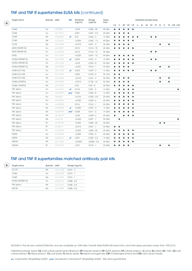#### TNF and TNF R superfamilies ELISA kits (continued)

 $($ 

 $\bigoplus$ 

| Target name     | Species abID   |          | <b>SSE</b>   | Sensitivity<br>(ng/ml) | Range<br>(ng/ml) | Assay<br>time | Validated sample types |           |           |           |           |           |  |           |           |           |           |           |                    |
|-----------------|----------------|----------|--------------|------------------------|------------------|---------------|------------------------|-----------|-----------|-----------|-----------|-----------|--|-----------|-----------|-----------|-----------|-----------|--------------------|
|                 |                |          |              |                        |                  |               | <b>CS</b>              | S         | HP        | EP        | <b>CP</b> | U         |  | Sv M CE   |           |           |           |           | TE CL TL TH CSF CM |
| CD40            | Hu             | ab99990  |              | < 0.05                 | $0.055 - 40$     | 4h 45m        | $\bullet$              | $\bullet$ | $\bullet$ | $\bullet$ | $\bullet$ |           |  |           |           |           |           |           |                    |
| CD40            | Hu             | ab119516 |              | 0.001                  | $0.007 - 0.5$    | 3h 30m        |                        |           |           | $\bullet$ |           |           |  |           |           |           |           |           |                    |
| CD40            | Ms             | ab206307 | $\checkmark$ | 0.01                   | $0.062 - 4$      | 1h 30m        |                        |           |           |           | $\bullet$ | $\bullet$ |  | $\bullet$ | $\bullet$ |           |           |           |                    |
| CD40            | Ms             | ab100674 |              | < 0.003                | $0.002 - 1.5$    | 4h 45m        | ●                      |           |           | $\bullet$ | $\bullet$ |           |  |           |           |           |           |           |                    |
| CD70            | Ms             | ab213854 |              | < 0.010                | $0.031 - 2$      | 3h 30m        | $\bullet$              |           |           | $\bullet$ |           |           |  |           |           | $\bullet$ |           | $\bullet$ |                    |
| GITR (TNFRSF18) | Hu             | ab100527 |              | 0.015                  | $0.014 - 10$     | 4h 45m        | $\bullet$              | $\bullet$ | $\bullet$ | $\bullet$ | $\bullet$ |           |  |           |           |           |           |           |                    |
| GITR (TNFRSF18) | Hu             | ab100528 |              | 0.015                  | $0.014 - 10$     | 4h 45m        |                        |           |           |           |           |           |  | $\bullet$ | $\bullet$ |           |           |           |                    |
| GITRL           | Hu             | ab113323 |              | < 0.025                | $0.041 - 10$     | 4h 45m        |                        |           |           |           | $\bullet$ |           |  |           |           |           |           |           |                    |
| HVEM (TNFRSF14) | Hu             | ab216950 | $\checkmark$ | 0.009                  | $0.031 - 2$      | 1h 30m        |                        |           |           |           | $\bullet$ |           |  | $\bullet$ | $\bullet$ |           |           |           |                    |
| HVEM (TNFRSF14) | Hu             | ab113335 |              | < 0.03                 | $0.033 - 8$      | 4h 45m        |                        |           |           |           | $\bullet$ |           |  |           |           |           |           |           |                    |
| HVEM (TNFRSF14) | Ms             | ab213892 |              | < 0.001                | $0.016 - 1$      | 3h 30m        | $\bullet$              |           | $\bullet$ | $\bullet$ |           |           |  |           |           | $\bullet$ |           | $\bullet$ |                    |
| OX40 (CD134)    | Hu             | ab231926 | $\checkmark$ | 0.023                  | $0.047 - 3$      | 1h 30m        | $\bullet$              | $\bullet$ | $\bullet$ | $\bullet$ | $\bullet$ |           |  | $\bullet$ | $\bullet$ |           |           |           |                    |
| OX40 (CD134)    | Hu             | ab119510 |              | 0.002                  | $0.078 - 5$      | 3h 10m        | $\bullet$              | $\bullet$ |           |           |           |           |  |           |           |           |           |           |                    |
| OX40 (CD134)    | Ms             | ab213894 |              | < 0.010                | $0.031 - 2$      | 3h 30m        |                        |           | $\bullet$ | $\bullet$ |           |           |  |           |           | $\bullet$ |           | $\bullet$ |                    |
| OX40L (TNFSF4)  | Hu             | ab213842 |              | < 0.010                | $0.156 - 10$     | 3h 30m        |                        |           |           | $\bullet$ |           |           |  |           |           |           |           | $\bullet$ |                    |
| OX40L (TNFSF4)  | Ms             | ab193729 |              | 0.03                   | $0.03 - 8$       | 4h 45m        | ●                      |           |           | $\bullet$ | $\bullet$ |           |  |           |           |           |           |           |                    |
| TNF alpha       | Hu             | ab181421 | ✓            | 0.014                  | $0.031 - 2$      | 1h 30m        |                        |           |           |           | $\bullet$ |           |  |           |           |           |           |           | $\bullet$          |
| TNF alpha       | Hu             | ab229399 | ンン           | 0.002                  | $0.004 - 8$      | 1h 30m        | $\bullet$              |           |           |           | $\bullet$ |           |  |           |           |           |           |           |                    |
| TNF alpha       | Hu             | ab46087  |              | < 0.010                | $0.025 - 0.8$    | 3h 40m        | $\bullet$              | $\bullet$ | $\bullet$ | $\bullet$ | $\bullet$ |           |  |           |           |           |           |           |                    |
| TNF alpha       | Hu             | ab100654 |              | < 0.030                | $0.024 - 6$      | 4h 45m        | $\bullet$              |           |           |           | $\bullet$ |           |  |           |           |           |           |           |                    |
| TNF alpha       | Hu             | ab108908 |              | 0.016                  | $0.016 - 1$      | 5h 00m        |                        |           |           | ●         | $\bullet$ |           |  |           |           |           |           |           |                    |
| TNF alpha       | $\mathsf{Ms}$  | ab208348 | $\checkmark$ | < 0.009                | $0.047 - 3$      | 1h 30m        |                        |           |           |           | $\bullet$ |           |  |           |           |           |           |           |                    |
| TNF alpha       | Ms             | ab229393 | $\checkmark$ | 0.008                  | $0.011 - 6$      | 1h 30m        |                        |           |           |           | $\bullet$ |           |  |           |           |           |           |           |                    |
| TNF alpha       | Ms             | ab100747 |              | < 0.06                 | $0.094 - 6$      | 4h 45m        | $\bullet$              |           | $\bullet$ | $\bullet$ | $\bullet$ |           |  |           |           |           |           |           |                    |
| TNF alpha       | $\mathsf{Ms}$  | ab46105  |              | < 0.025                | $0.031 - 1$      | 3h 45m        |                        | $\bullet$ |           |           |           |           |  |           |           |           |           |           | $\bullet$          |
| TNF alpha       | $R+$           | ab100785 |              | < 0.025                | $0.082 - 20$     | 4h 45m        |                        |           |           |           |           |           |  |           |           | $\bullet$ | $\bullet$ |           |                    |
| TNF alpha       | Rt             | ab46070  |              | < 0.015                | $0.031 - 1$      | 3h 45m        | $\bullet$              | $\bullet$ |           |           |           |           |  |           |           |           |           |           |                    |
| TNF alpha       | $\mathbb{R}^+$ | ab100784 |              | < 0.025                | $0.082 - 20$     | 4h 45m        |                        |           |           |           | $\bullet$ |           |  |           |           |           |           |           |                    |
| <b>TNFRII</b>   | Hu             | ab100643 |              | < 0.005                | $0.003 - 2$      | 4h 45m        |                        |           |           |           | $\bullet$ |           |  |           |           |           |           |           |                    |
| <b>TNFRII</b>   | Ms             | ab202412 | ✓            | 0.001                  | $0.006 - 0.4$    | 1h 30m        |                        |           |           |           | $\bullet$ |           |  |           |           |           |           |           |                    |
| <b>TWEAK</b>    | Ms             | ab113320 |              | < 0.0003               | $0.0003 - 0.2$   | 4h 45m        |                        |           |           |           | $\bullet$ |           |  |           |           |           |           |           |                    |
| <b>TWEAK</b>    | Rt             | ab213915 |              | < 0.01                 | $0.015 - 1$      | 3h 30m        | $\bullet$              | $\bullet$ | $\bullet$ | $\bullet$ |           |           |  |           |           | $\bullet$ |           | $\bullet$ |                    |

#### TNF and TNF R superfamilies matched antibody pair kits

| Target name     | Species abID |          | Range (ng/ml) |
|-----------------|--------------|----------|---------------|
| CD137           | Ms           | ab216788 | $0.031 - 2$   |
| CD40            | Hu           | ab216055 | $0.016 - 1$   |
| CD40            | Ms           | ab213469 | $0.016 - 1$   |
| HVEM (TNFRSF14) | Hu           | ab220130 | $0.008 - 0.5$ |
| TNF alpha       | Ms           | ab212073 | $0.008 - 0.5$ |
| <b>TNF RII</b>  | Ms           | ab214482 | $0.008 - 0.5$ |

All ELISA in the list are coated ELISA kits, and are available as 1x96 tests. Overall, listed ELISA kits have intra- and inter-assay precision lower than 10% (CV).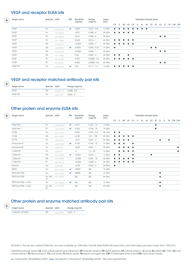#### VEGF and receptor ELISA kits

| $^+$        | Target name        | Species ablD |          | <b>SSE</b>   | Sensitivity<br>(ng/ml) | Range<br>(ng/ml) | Assay<br>time |           | Validated sample types |           |           |                       |   |    |                       |           |           |    |                       |  |           |
|-------------|--------------------|--------------|----------|--------------|------------------------|------------------|---------------|-----------|------------------------|-----------|-----------|-----------------------|---|----|-----------------------|-----------|-----------|----|-----------------------|--|-----------|
|             |                    |              |          |              |                        |                  |               | <b>CS</b> | S                      | <b>HP</b> | EP        | <b>CP</b>             | U | Sv |                       | M CE      | TE        | CL | TL T                  |  | TH CSF CM |
| <b>VGEF</b> |                    | Hu           | ab222510 | $\checkmark$ | 0.003                  | $0.012 - 0.8$    | 1h 30m        | $\bullet$ |                        | ●         | ●         | $\bullet$             |   |    | $\bullet\quad\bullet$ |           |           |    |                       |  |           |
| <b>VGEF</b> |                    | Hu           | ab100662 |              | < 0.01                 | $0.008 - 6$      | 4h 45m        | $\bullet$ | $\bullet$              | $\bullet$ |           | $\bullet\quad\bullet$ |   |    |                       |           |           |    |                       |  |           |
| <b>VGEF</b> |                    | Hu           | ab100663 |              | < 0.01                 | $0.008 - 6$      | 4h 45m        |           |                        |           |           |                       |   |    |                       |           |           |    | $\bullet\quad\bullet$ |  |           |
| VGEF        |                    | Hu           | ab119566 |              | 0.008                  | $0.016 - 1$      | 4h 30m        | $\bullet$ |                        |           | $\bullet$ | $\bullet$             |   |    |                       |           |           |    |                       |  |           |
| <b>VGEF</b> |                    | Ms           | ab100751 |              | < 0.002                | $0.004 - 1$      | 4h 45m        | $\bullet$ | $\bullet$              | $\bullet$ |           | $\bullet\quad\bullet$ |   |    |                       |           |           |    |                       |  |           |
| <b>VGEF</b> |                    | Ms           | ab209882 | ✓            | 0.0003                 | $0.006 - 0.37$   | 1h 30m        | $\bullet$ |                        |           |           |                       |   |    |                       | $\bullet$ | $\bullet$ |    |                       |  |           |
| <b>VGEF</b> |                    | Ms           | ab100752 |              | < 0.002                | $0.004 - 1$      | 4h 45m        |           |                        |           |           |                       |   |    |                       |           |           |    | $\bullet\quad\bullet$ |  |           |
| VGEF        |                    | Ms           | ab119565 |              | 0.02                   | $0.062 - 4$      | 4h 30m        | $\bullet$ | $\bullet$              |           | $\bullet$ |                       |   |    |                       |           |           |    |                       |  |           |
| <b>VGEF</b> |                    | Rt           | ab100786 |              | 0.002                  | $0.0008 - 0.2$   | 4h 45m        | $\bullet$ | $\bullet$              | $\bullet$ |           | $\bullet\quad\bullet$ |   |    |                       |           |           |    |                       |  |           |
| <b>VGEF</b> |                    | Rt           | ab100787 |              | 0.002                  | $0.0008 - 0.2$   | 4h 45m        |           |                        |           |           |                       |   |    |                       |           |           |    | $\bullet\quad\bullet$ |  |           |
|             | VGEF <sub>R2</sub> | Hu           | ab213476 | ✓            | 0.01                   | $0.117 - 7.5$    | 1h 30m        |           |                        |           | $\bullet$ | $\bullet$             |   |    |                       |           |           |    |                       |  |           |

#### VEGF and receptor matched antibody pair kits

| ÷ | Target name         | Species abID |             | Range (ng/ml) |
|---|---------------------|--------------|-------------|---------------|
|   | <b>VEGF</b>         | Ms           | $0$ h220118 | $0.008 - 0.5$ |
|   | VEGF R <sub>2</sub> | Hu           | (b221427)   | $0.062 - 4$   |

#### Other protein and enzyme ELISA kits

| Target name                 | Species abID    |          | <b>SSE</b>   | Sensitivity<br>(ng/ml) | Range<br>(ng/ml) | Assay<br>time |                | Validated sample types |           |           |           |   |    |   |           |           |           |    |           |           |
|-----------------------------|-----------------|----------|--------------|------------------------|------------------|---------------|----------------|------------------------|-----------|-----------|-----------|---|----|---|-----------|-----------|-----------|----|-----------|-----------|
|                             |                 |          |              |                        |                  |               | CS <sub></sub> | S                      | <b>HP</b> | EP        | <b>CP</b> | U | Sv | M | CE        | TE        | CL        | TL |           | TH CSF CM |
| Arginase 1                  | Hu              | ab230930 | $\checkmark$ | 0.017                  | $0.187 - 12$     | 1h 30m        |                |                        |           |           |           |   |    |   |           | $\bullet$ |           |    |           |           |
| Arginase 1                  | $R+$            | ab231923 | $\checkmark$ | 0.022                  | $0.156 - 10$     | 1h 30m        |                |                        |           |           |           |   |    |   |           | $\bullet$ |           |    |           |           |
| CD <sub>26</sub>            | Hu              | ab119513 |              | 0.007                  | $0.015 - 0.5$    | 4h 15m        | $\bullet$      | $\bullet$              |           |           |           |   |    |   |           |           |           |    |           |           |
| CD26                        | Ms              | ab155455 |              | < 0.45                 | $0.41 - 100$     | 4h 45m        |                |                        |           |           | $\bullet$ |   |    |   |           |           |           |    |           |           |
| CD73                        | Hu              | ab213761 |              | < 0.01                 | $0.031 - 2$      | 3h 30m        | $\bullet$      | $\bullet$              | $\bullet$ | $\bullet$ |           |   |    |   |           |           | $\bullet$ |    | $\bullet$ |           |
| Granzyme B                  | Hu              | ab235635 | $\checkmark$ | 0.106                  | $0.156 - 10$     | 1h 30m        |                |                        | $\bullet$ |           | $\bullet$ |   |    |   |           |           |           |    |           |           |
| Granzyme B                  | Hu              | ab46142  |              | < 0.02                 | $0.031 - 1$      | 3h 45m        |                | $\bullet$              |           |           | $\bullet$ |   |    |   |           |           |           |    |           |           |
| L Selectin                  | Hu              | ab45917  |              | <1                     | $1.6 - 60$       | 1h 45m        |                | $\bullet$              |           | $\bullet$ | $\bullet$ |   |    |   |           |           |           |    |           | $\bullet$ |
| L Selectin                  | Ms              | ab199085 | $\checkmark$ | < 0.001                | $0.015 - 1$      | 1h 30m        | $\bullet$      | $\bullet$              |           |           | $\bullet$ |   |    |   | $\bullet$ |           |           |    |           |           |
| L Selectin                  | Ms              | ab155448 |              | < 0.035                | $0.041 - 10$     | 4h 45m        |                |                        | $\bullet$ | $\bullet$ | $\bullet$ |   |    |   |           |           |           |    |           |           |
| L Selectin                  | Rt              | ab100776 |              | < 0.006                | $0.008 - 6$      | 4h 45m        |                |                        |           |           | $\bullet$ |   |    |   |           |           |           |    |           |           |
| Perforin                    | Hu              | ab46068  |              | < 0.04                 | $0.062 - 2$      | 2h 50m        | $\bullet$      |                        |           |           |           |   |    |   |           |           |           |    |           |           |
| STAT3                       | Hu              | ab176655 | $\checkmark$ | 15000                  | SQ               | 1h 30m        |                |                        |           |           |           |   |    |   |           |           |           |    |           |           |
| STAT3 (pY705)               | Hu              | ab176654 | $\checkmark$ | 30000                  | SQ               | 1h 30m        |                |                        |           |           |           |   |    |   |           |           | $\bullet$ |    |           |           |
| STAT3 (pY705)               | Hu, Ms,<br>$R+$ | ab126458 |              | SQ                     | SQ               | 5h 00m        |                |                        |           |           |           |   |    |   |           |           | $\bullet$ |    |           |           |
| $STAT3$ ( $pY705$ ) + total | Hu              | ab176666 | $\checkmark$ | SQ                     | SQ               | 1h 30m        |                |                        |           |           |           |   |    |   |           |           | $\bullet$ |    |           |           |
| STAT3 (pY705) + total       | Hu, Ms,<br>Rt   | ab126459 |              | SQ                     | SQ               | 5h 00m        |                |                        |           |           |           |   |    |   |           |           | $\bullet$ |    |           |           |

#### Other protein and enzyme matched antibody pair kits

| Target name        | Species abID |          | Range (ng/ml) |
|--------------------|--------------|----------|---------------|
| L-selectin (CD62L) | Ms.          | ab216050 | $0.031 - 2$   |

 $\bigoplus$ 

All ELISA in the list are coated ELISA kits, and are available as 1x96 tests. Overall, listed ELISA kits have intra- and inter-assay precision lower than 10% (CV).

Validated sample types: CS=Cell culture supernatant, S=serum, HP=heparin plasma, EP=EDTA plasma, CP=citrate plasma , U=urine, Sv=saliva, M= milk , CE=cell culture extract, TE=tissue extract, CL=cell lysate, TL=tissue lysate, TH=tissue homogenate, CSF=Cerebrospinal fluid and CM=cell culture media

= colorimetric SimpleStep ELISA®, = fluorescent Catchpoint® SimpleStep ELISA®, SQ: semi-quantitative